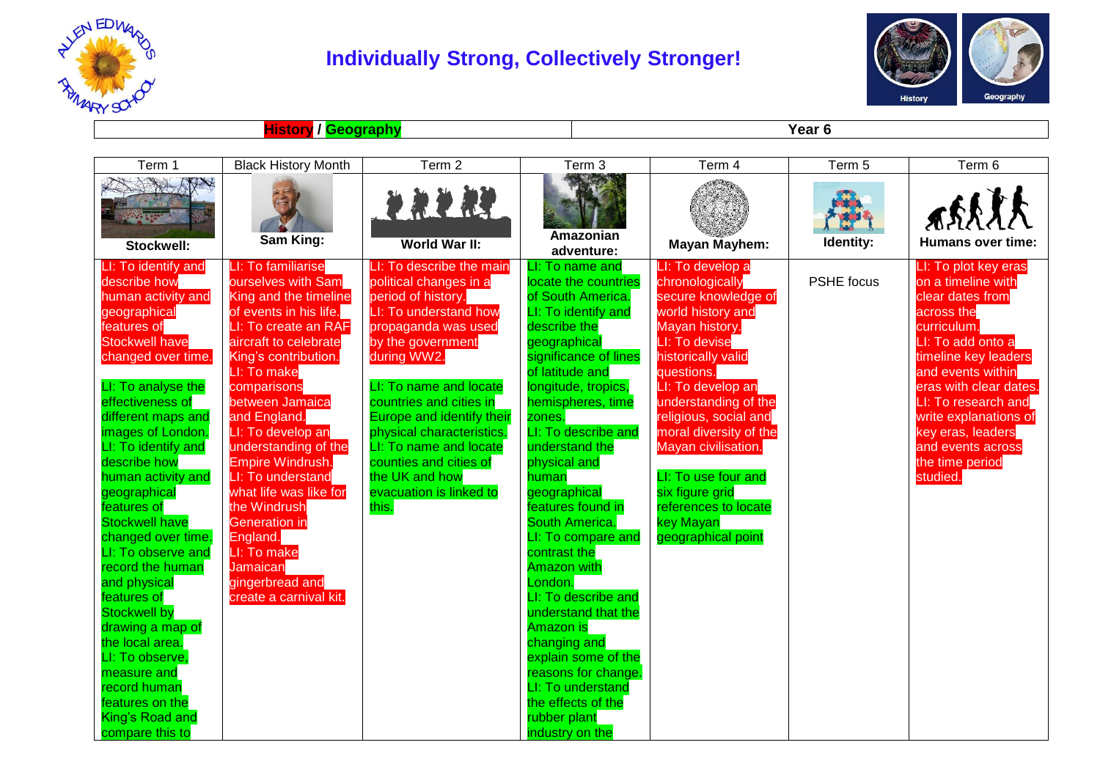

## **Individually Strong, Collectively Stronger!**



**History / Geography Year 6**

| Term 1                                                                                                                                                                                                                                                                                                                                                                                                                                                                                                                                                                                                                    | <b>Black History Month</b>                                                                                                                                                                                                                                                                                                                                                                                                                                                 | Term 2                                                                                                                                                                                                                                                                                                                                                                                | Term 3                                                                                                                                                                                                                                                                                                                                                                                                                                                                                                                                                                                                                             | Term 4                                                                                                                                                                                                                                                                                                                                                                             | Term 5     | Term 6                                                                                                                                                                                                                                                                                                           |
|---------------------------------------------------------------------------------------------------------------------------------------------------------------------------------------------------------------------------------------------------------------------------------------------------------------------------------------------------------------------------------------------------------------------------------------------------------------------------------------------------------------------------------------------------------------------------------------------------------------------------|----------------------------------------------------------------------------------------------------------------------------------------------------------------------------------------------------------------------------------------------------------------------------------------------------------------------------------------------------------------------------------------------------------------------------------------------------------------------------|---------------------------------------------------------------------------------------------------------------------------------------------------------------------------------------------------------------------------------------------------------------------------------------------------------------------------------------------------------------------------------------|------------------------------------------------------------------------------------------------------------------------------------------------------------------------------------------------------------------------------------------------------------------------------------------------------------------------------------------------------------------------------------------------------------------------------------------------------------------------------------------------------------------------------------------------------------------------------------------------------------------------------------|------------------------------------------------------------------------------------------------------------------------------------------------------------------------------------------------------------------------------------------------------------------------------------------------------------------------------------------------------------------------------------|------------|------------------------------------------------------------------------------------------------------------------------------------------------------------------------------------------------------------------------------------------------------------------------------------------------------------------|
| ANY<br>Stockwell:                                                                                                                                                                                                                                                                                                                                                                                                                                                                                                                                                                                                         | Sam King:                                                                                                                                                                                                                                                                                                                                                                                                                                                                  | 生命的独<br>World War II:                                                                                                                                                                                                                                                                                                                                                                 | Amazonian<br>adventure:                                                                                                                                                                                                                                                                                                                                                                                                                                                                                                                                                                                                            | <b>Mayan Mayhem:</b>                                                                                                                                                                                                                                                                                                                                                               | Identity:  | <b>Humans over time:</b>                                                                                                                                                                                                                                                                                         |
| LI: To identify and<br>describe how<br>human activity and<br>geographical<br>features of<br><b>Stockwell have</b><br>changed over time.<br>LI: To analyse the<br>effectiveness of<br>different maps and<br>images of London.<br>LI: To identify and<br>describe how<br>human activity and<br>geographical<br>features of<br><b>Stockwell have</b><br>changed over time.<br>LI: To observe and<br>record the human<br>and physical<br>features of<br><b>Stockwell by</b><br>drawing a map of<br>the local area.<br>LI: To observe,<br>measure and<br>record human<br>features on the<br>King's Road and<br>compare this to | LI: To familiarise<br>ourselves with Sam<br>King and the timeline<br>of events in his life.<br>LI: To create an RAF<br>aircraft to celebrate<br>King's contribution.<br>LI: To make<br>comparisons<br>between Jamaica<br>and England.<br>LI: To develop an<br>understanding of the<br>Empire Windrush.<br>LI: To understand<br>what life was like for<br>the Windrush<br>Generation in<br>England.<br>LI: To make<br>Jamaican<br>gingerbread and<br>create a carnival kit. | LI: To describe the main<br>political changes in a<br>period of history.<br>LI: To understand how<br>propaganda was used<br>by the government<br>during WW2.<br>LI: To name and locate<br>countries and cities in<br>Europe and identify their<br>physical characteristics.<br>LI: To name and locate<br>counties and cities of<br>the UK and how<br>evacuation is linked to<br>this. | LI: To name and<br>locate the countries<br>of South America.<br>I: To identify and<br>describe the<br>geographical<br>significance of lines<br>of latitude and<br>longitude, tropics,<br>hemispheres, time<br>zones.<br>LI: To describe and<br>understand the<br>physical and<br>human<br>geographical<br>features found in<br>South America.<br>LI: To compare and<br>contrast the<br><b>Amazon with</b><br>London.<br>LI: To describe and<br>understand that the<br><b>Amazon is</b><br>changing and<br>explain some of the<br>reasons for change.<br>LI: To understand<br>the effects of the<br>rubber plant<br>industry on the | LI: To develop a<br>chronologically<br>secure knowledge of<br>world history and<br>Mayan history.<br>LI: To devise<br>historically valid<br>questions.<br>LI: To develop an<br>understanding of the<br>religious, social and<br>moral diversity of the<br>Mayan civilisation.<br>LI: To use four and<br>six figure grid<br>references to locate<br>key Mayan<br>geographical point | PSHE focus | LI: To plot key eras<br>on a timeline with<br>clear dates from<br>across the<br>curriculum.<br>LI: To add onto a<br>timeline key leaders<br>and events within<br>eras with clear dates.<br>LI: To research and<br>write explanations of<br>key eras, leaders<br>and events across<br>the time period<br>studied. |